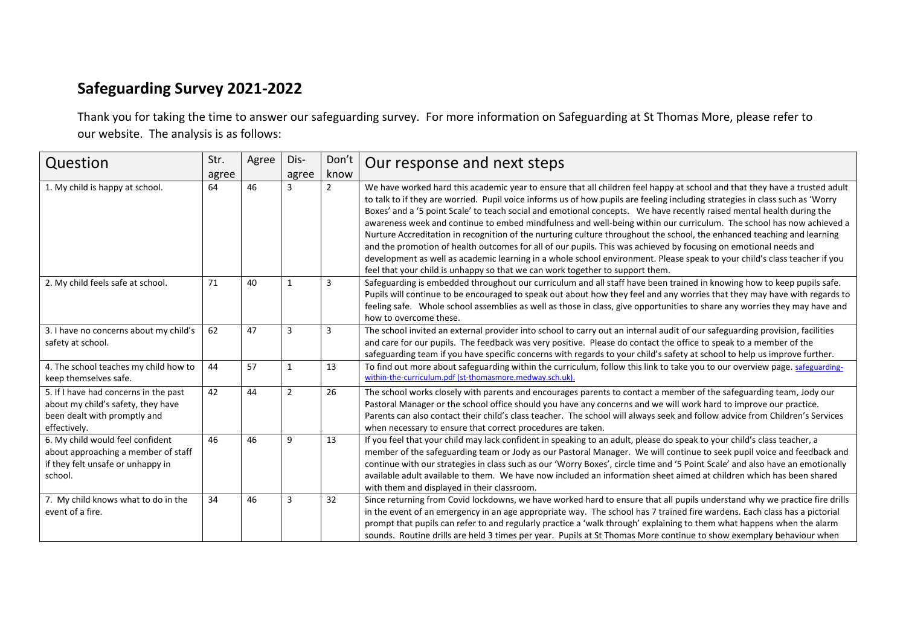## **Safeguarding Survey 2021-2022**

Thank you for taking the time to answer our safeguarding survey. For more information on Safeguarding at St Thomas More, please refer to our website. The analysis is as follows:

| Question                                                                                                                    | Str.<br>agree | Agree | Dis-<br>agree  | Don't<br>know  | Our response and next steps                                                                                                                                                                                                                                                                                                                                                                                                                                                                                                                                                                                                                                                                                                                                                                                                                                                                                                                                               |
|-----------------------------------------------------------------------------------------------------------------------------|---------------|-------|----------------|----------------|---------------------------------------------------------------------------------------------------------------------------------------------------------------------------------------------------------------------------------------------------------------------------------------------------------------------------------------------------------------------------------------------------------------------------------------------------------------------------------------------------------------------------------------------------------------------------------------------------------------------------------------------------------------------------------------------------------------------------------------------------------------------------------------------------------------------------------------------------------------------------------------------------------------------------------------------------------------------------|
| 1. My child is happy at school.                                                                                             | 64            | 46    | 3              | $\overline{2}$ | We have worked hard this academic year to ensure that all children feel happy at school and that they have a trusted adult<br>to talk to if they are worried. Pupil voice informs us of how pupils are feeling including strategies in class such as 'Worry<br>Boxes' and a '5 point Scale' to teach social and emotional concepts. We have recently raised mental health during the<br>awareness week and continue to embed mindfulness and well-being within our curriculum. The school has now achieved a<br>Nurture Accreditation in recognition of the nurturing culture throughout the school, the enhanced teaching and learning<br>and the promotion of health outcomes for all of our pupils. This was achieved by focusing on emotional needs and<br>development as well as academic learning in a whole school environment. Please speak to your child's class teacher if you<br>feel that your child is unhappy so that we can work together to support them. |
| 2. My child feels safe at school.                                                                                           | 71            | 40    | 1              | 3              | Safeguarding is embedded throughout our curriculum and all staff have been trained in knowing how to keep pupils safe.<br>Pupils will continue to be encouraged to speak out about how they feel and any worries that they may have with regards to<br>feeling safe. Whole school assemblies as well as those in class, give opportunities to share any worries they may have and<br>how to overcome these.                                                                                                                                                                                                                                                                                                                                                                                                                                                                                                                                                               |
| 3. I have no concerns about my child's<br>safety at school.                                                                 | 62            | 47    | 3              | 3              | The school invited an external provider into school to carry out an internal audit of our safeguarding provision, facilities<br>and care for our pupils. The feedback was very positive. Please do contact the office to speak to a member of the<br>safeguarding team if you have specific concerns with regards to your child's safety at school to help us improve further.                                                                                                                                                                                                                                                                                                                                                                                                                                                                                                                                                                                            |
| 4. The school teaches my child how to<br>keep themselves safe.                                                              | 44            | 57    | $\mathbf{1}$   | 13             | To find out more about safeguarding within the curriculum, follow this link to take you to our overview page. safeguarding-<br>within-the-curriculum.pdf (st-thomasmore.medway.sch.uk).                                                                                                                                                                                                                                                                                                                                                                                                                                                                                                                                                                                                                                                                                                                                                                                   |
| 5. If I have had concerns in the past<br>about my child's safety, they have<br>been dealt with promptly and<br>effectively. | 42            | 44    | $\overline{2}$ | 26             | The school works closely with parents and encourages parents to contact a member of the safeguarding team, Jody our<br>Pastoral Manager or the school office should you have any concerns and we will work hard to improve our practice.<br>Parents can also contact their child's class teacher. The school will always seek and follow advice from Children's Services<br>when necessary to ensure that correct procedures are taken.                                                                                                                                                                                                                                                                                                                                                                                                                                                                                                                                   |
| 6. My child would feel confident<br>about approaching a member of staff<br>if they felt unsafe or unhappy in<br>school.     | 46            | 46    | 9              | 13             | If you feel that your child may lack confident in speaking to an adult, please do speak to your child's class teacher, a<br>member of the safeguarding team or Jody as our Pastoral Manager. We will continue to seek pupil voice and feedback and<br>continue with our strategies in class such as our 'Worry Boxes', circle time and '5 Point Scale' and also have an emotionally<br>available adult available to them. We have now included an information sheet aimed at children which has been shared<br>with them and displayed in their classroom.                                                                                                                                                                                                                                                                                                                                                                                                                |
| 7. My child knows what to do in the<br>event of a fire.                                                                     | 34            | 46    | 3              | 32             | Since returning from Covid lockdowns, we have worked hard to ensure that all pupils understand why we practice fire drills<br>in the event of an emergency in an age appropriate way. The school has 7 trained fire wardens. Each class has a pictorial<br>prompt that pupils can refer to and regularly practice a 'walk through' explaining to them what happens when the alarm<br>sounds. Routine drills are held 3 times per year. Pupils at St Thomas More continue to show exemplary behaviour when                                                                                                                                                                                                                                                                                                                                                                                                                                                                 |